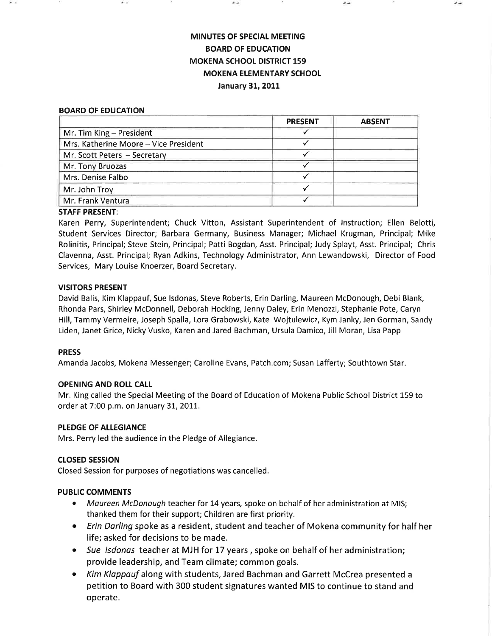# **MINUTES OF SPECIAL MEETING** BOARD OF EDUCATION MOKENA SCHOOL DISTRICT 159 **MOKENA ELEMENTARY SCHOOL** January 31, 2011

#### BOARD OF EDUCATION

|                                       | <b>PRESENT</b> | <b>ABSENT</b> |
|---------------------------------------|----------------|---------------|
| Mr. Tim King - President              |                |               |
| Mrs. Katherine Moore - Vice President |                |               |
| Mr. Scott Peters - Secretary          |                |               |
| Mr. Tony Bruozas                      |                |               |
| Mrs. Denise Falbo                     |                |               |
| Mr. John Troy                         |                |               |
| Mr. Frank Ventura                     |                |               |

#### STAFF PRESENT:

Karen Perry, Superintendent; Chuck Vitton, Assistant Superintendent of lnstruction; Ellen Belotti, Student Services Director; Barbara Germany, Business Manager; Michael Krugman, Principal; Mike Rolinitis, Principal; Steve Stein, Principal; Patti Bogdan, Asst. Principal; Judy Splayt, Asst. Principal; Chris Clavenna, Asst. Principal; Ryan Adkins, Technology Administrator, Ann Lewandowski, Director of Food Services, Mary Louise Knoerzer, Board Secretary,

# VISITORS PRESENT

David Balis, Kim Klappauf, Sue lsdonas, Steve Roberts, Erin Darling, Maureen McDonough, Debi Blank, Rhonda Pars, Shirley McDonnell, Deborah Hocking, Jenny Daley, Erin Menozzi, Stephanie Pote, Caryn Hill, Tammy Vermeire, Joseph Spalla, Lora Grabowski, Kate Wojtulewicz, Kym Janky, Jen Gorman, Sandy Liden, Janet Grice, Nicky Vusko, Karen and Jared Bachman, Ursula Damico, Jill Moran, Lisa Papp

#### PRESS

Amanda Jacobs, Mokena Messenger; Caroline Evans, Patch.com; Susan Lafferty; Southtown Star.

# OPENING AND ROLI CALL

Mr, King called the Special Meeting of the Board of Education of Mokena Public School District 159 to order at 7:00 p.m. on January 31, 2011.

#### PLEDGE OF ALLEGIANCE

Mrs. Perry led the audience in the Pledge of Allegiance.

#### cLosED sEsstoN

Closed Session for purposes of negotiations was cancelled.

#### PUBLIC COMMENTS

- Maureen McDonough teacher for 14 years, spoke on behalf of her administration at MIS; thanked them for their support; Children are first priority.
- Erin Darling spoke as a resident, student and teacher of Mokena community for half her life; asked for decisions to be made.
- Sue Isdonas teacher at MJH for 17 years, spoke on behalf of her administration provide leadership, and Team climate; common goals.
- Kim Klappauf along with students, Jared Bachman and Garrett McCrea presented a petition to Board with 300 student signatures wanted MIS to continue to stand and operate.